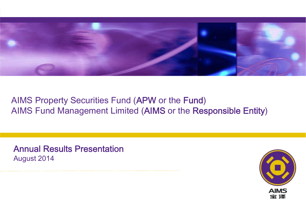

## AIMS Property Securities Fund (APW or the Fund ) AIMS Fund Management Limited (AIMS or the Responsible Entity )

Annual Results Presentation August 2014

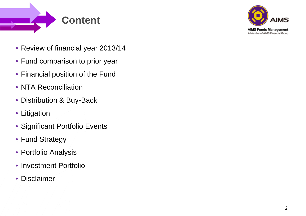



- Review of financial year 2013/14
- Fund comparison to prior year
- Financial position of the Fund
- NTA Reconciliation
- Distribution & Buy-Back
- Litigation
- Significant Portfolio Events
- Fund Strategy
- Portfolio Analysis
- Investment Portfolio
- Disclaimer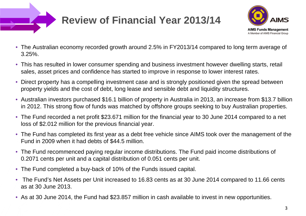

# **Review of Financial Year 2013/14**



- The Australian economy recorded growth around 2.5% in FY2013/14 compared to long term average of 3.25%.
- This has resulted in lower consumer spending and business investment however dwelling starts, retail sales, asset prices and confidence has started to improve in response to lower interest rates.
- Direct property has a compelling investment case and is strongly positioned given the spread between property yields and the cost of debt, long lease and sensible debt and liquidity structures.
- Australian investors purchased \$16.1 billion of property in Australia in 2013, an increase from \$13.7 billion in 2012. This strong flow of funds was matched by offshore groups seeking to buy Australian properties.
- The Fund recorded a net profit \$23.671 million for the financial year to 30 June 2014 compared to a net loss of \$2.012 million for the previous financial year.
- The Fund has completed its first year as a debt free vehicle since AIMS took over the management of the Fund in 2009 when it had debts of \$44.5 million.
- The Fund recommenced paying regular income distributions. The Fund paid income distributions of 0.2071 cents per unit and a capital distribution of 0.051 cents per unit.
- The Fund completed a buy-back of 10% of the Funds issued capital.
- The Fund's Net Assets per Unit increased to 16.83 cents as at 30 June 2014 compared to 11.66 cents as at 30 June 2013.
- As at 30 June 2014, the Fund had \$23.857 million in cash available to invest in new opportunities.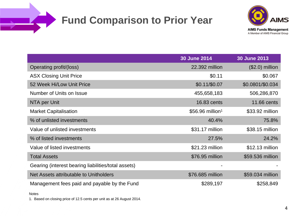# **Fund Comparison to Prior Year**



|                                                     | <b>30 June 2014</b>          | <b>30 June 2013</b> |
|-----------------------------------------------------|------------------------------|---------------------|
| Operating profit/(loss)                             | 22.392 million               | $($2.0)$ million    |
| <b>ASX Closing Unit Price</b>                       | \$0.11                       | \$0.067             |
| 52 Week Hi/Low Unit Price                           | $$0.11/\$0.07$               | \$0.0801/\$0.034    |
| Number of Units on Issue                            | 455,658,183                  | 506,286,870         |
| NTA per Unit                                        | 16.83 cents                  | 11.66 cents         |
| <b>Market Capitalisation</b>                        | \$56.96 million <sup>1</sup> | \$33.92 million     |
| % of unlisted investments                           | 40.4%                        | 75.8%               |
| Value of unlisted investments                       | \$31.17 million              | \$38.15 million     |
| % of listed investments                             | 27.5%                        | 24.2%               |
| Value of listed investments                         | \$21.23 million              | \$12.13 million     |
| <b>Total Assets</b>                                 | \$76.95 million              | \$59.536 million    |
| Gearing (interest bearing liabilities/total assets) |                              |                     |
| Net Assets attributable to Unitholders              | \$76.685 million             | \$59.034 million    |
| Management fees paid and payable by the Fund        | \$289,197                    | \$258,849           |

#### Notes

1. Based on closing price of 12.5 cents per unit as at 26 August 2014.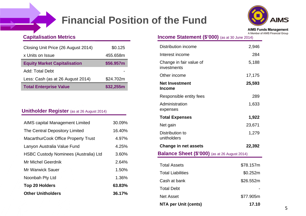# **Financial Position of the Fund**



**AIMS Funds Management** A Member of AIMS Financial Group

#### **Capitalisation Metrics**

| Closing Unit Price (26 August 2014) | \$0.125   |
|-------------------------------------|-----------|
| x Units on Issue                    | 455.658m  |
| <b>Equity Market Capitalisation</b> | \$56.957m |
| Add: Total Debt                     |           |
| Less: Cash (as at 26 August 2014)   | \$24.702m |
| <b>Total Enterprise Value</b>       | \$32,255m |

#### **Unitholder Register** (as at 26 August 2014)

| <b>AIMS capital Management Limited</b>       | 30.09% |
|----------------------------------------------|--------|
| The Central Depository Limited               | 16.40% |
| MacarthurCook Office Property Trust          | 4.97%  |
| Lanyon Australia Value Fund                  | 4.25%  |
| <b>HSBC Custody Nominees (Australia) Ltd</b> | 3.60%  |
| Mr Michel Geerdnik                           | 2.64%  |
| <b>Mr Warwick Sauer</b>                      | 1.50%  |
| Noonbah Pty Ltd                              | 1.36%  |
| <b>Top 20 Holders</b>                        | 63.83% |
| <b>Other Unitholders</b>                     | 36.17% |
|                                              |        |

| <b>Income Statement (\$'000)</b> (as at 30 June 2014) |  |
|-------------------------------------------------------|--|
|                                                       |  |

| <b>Distribution income</b>                           | 2,946     |  |  |  |  |
|------------------------------------------------------|-----------|--|--|--|--|
| Interest income                                      | 284       |  |  |  |  |
| Change in fair value of<br>investments               | 5,188     |  |  |  |  |
| Other income                                         | 17,175    |  |  |  |  |
| <b>Net Investment</b><br><b>Income</b>               | 25,593    |  |  |  |  |
| Responsible entity fees                              | 289       |  |  |  |  |
| Administration<br>expenses                           | 1,633     |  |  |  |  |
| <b>Total Expenses</b>                                | 1,922     |  |  |  |  |
| Net gain                                             | 23,671    |  |  |  |  |
| Distribution to<br>unitholders                       | 1,279     |  |  |  |  |
| <b>Change in net assets</b>                          | 22,392    |  |  |  |  |
| <b>Balance Sheet (\$'000)</b> (as at 26 August 2014) |           |  |  |  |  |
| <b>Total Assets</b>                                  | \$78.157m |  |  |  |  |
| <b>Total Liabilities</b>                             | \$0.252m  |  |  |  |  |
| Cash at bank                                         | \$26.552m |  |  |  |  |
| <b>Total Debt</b>                                    |           |  |  |  |  |
| <b>Net Asset</b>                                     | \$77.905m |  |  |  |  |
| <b>NTA per Unit (cents)</b>                          | 17.10     |  |  |  |  |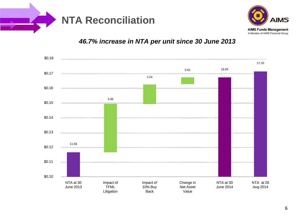



## *46.7% increase in NTA per unit since 30 June 2013*

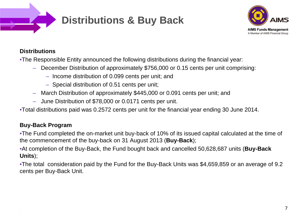



#### **Distributions**

•The Responsible Entity announced the following distributions during the financial year:

- December Distribution of approximately \$756,000 or 0.15 cents per unit comprising:
	- Income distribution of 0.099 cents per unit; and
	- Special distribution of 0.51 cents per unit;
- March Distribution of approximately \$445,000 or 0.091 cents per unit; and
- June Distribution of \$78,000 or 0.0171 cents per unit.

•Total distributions paid was 0.2572 cents per unit for the financial year ending 30 June 2014.

## **Buy-Back Program**

•The Fund completed the on-market unit buy-back of 10% of its issued capital calculated at the time of the commencement of the buy-back on 31 August 2013 (**Buy-Back**);

•At completion of the Buy-Back, the Fund bought back and cancelled 50,628,687 units (**Buy-Back Units**);

•The total consideration paid by the Fund for the Buy-Back Units was \$4,659,859 or an average of 9.2 cents per Buy-Back Unit.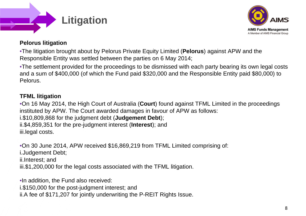



### **Pelorus litigation**

•The litigation brought about by Pelorus Private Equity Limited (**Pelorus**) against APW and the Responsible Entity was settled between the parties on 6 May 2014;

•The settlement provided for the proceedings to be dismissed with each party bearing its own legal costs and a sum of \$400,000 (of which the Fund paid \$320,000 and the Responsible Entity paid \$80,000) to Pelorus.

## **TFML litigation**

•On 16 May 2014, the High Court of Australia (**Court**) found against TFML Limited in the proceedings instituted by APW. The Court awarded damages in favour of APW as follows: i.\$10,809,868 for the judgment debt (**Judgement Debt**);

ii.\$4,859,351 for the pre-judgment interest (**Interest**); and iii.legal costs.

•On 30 June 2014, APW received \$16,869,219 from TFML Limited comprising of:

i.Judgement Debt;

ii.Interest; and

iii.\$1,200,000 for the legal costs associated with the TFML litigation.

•In addition, the Fund also received:

i.\$150,000 for the post-judgment interest; and

ii.A fee of \$171,207 for jointly underwriting the P-REIT Rights Issue.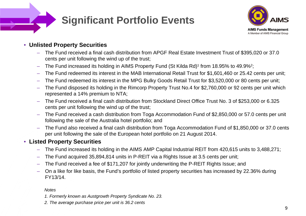

## **Significant Portfolio Events**



## • **Unlisted Property Securities**

- The Fund received a final cash distribution from APGF Real Estate Investment Trust of \$395,020 or 37.0 cents per unit following the wind up of the trust;
- The Fund increased its holding in AIMS Property Fund (St Kilda Rd)<sup>1</sup> from 18.95% to 49.9%<sup>2</sup>;
- The Fund redeemed its interest in the MAB International Retail Trust for \$1,601,460 or 25.42 cents per unit;
- The Fund redeemed its interest in the MPG Bulky Goods Retail Trust for \$3,520,000 or 80 cents per unit;
- The Fund disposed its holding in the Rimcorp Property Trust No.4 for \$2,760,000 or 92 cents per unit which represented a 14% premium to NTA;
- The Fund received a final cash distribution from Stockland Direct Office Trust No. 3 of \$253,000 or 6.325 cents per unit following the wind up of the trust;
- The Fund received a cash distribution from Toga Accommodation Fund of \$2,850,000 or 57.0 cents per unit following the sale of the Australia hotel portfolio; and
- The Fund also received a final cash distribution from Toga Accommodation Fund of \$1,850,000 or 37.0 cents per unit following the sale of the European hotel portfolio on 21 August 2014.

## • **Listed Property Securities**

- The Fund increased its holding in the AIMS AMP Capital Industrial REIT from 420,615 units to 3,488,271;
- The Fund acquired 35,894,814 units in P-REIT via a Rights Issue at 3.5 cents per unit;
- $-$  The Fund received a fee of \$171,207 for jointly underwriting the P-REIT Rights Issue; and
- $-$  On a like for like basis, the Fund's portfolio of listed property securities has increased by 22.36% during FY13/14.

#### *Notes*

- *1. Formerly known as Austgrowth Property Syndicate No. 23.*
- *2. The average purchase price per unit is 36.2 cents*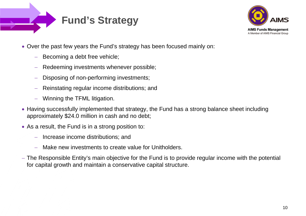



- Over the past few years the Fund's strategy has been focused mainly on:
	- $\frac{1}{2}$ Becoming a debt free vehicle;
	- Redeeming investments whenever possible;
	- Disposing of non-performing investments;
	- Reinstating regular income distributions; and
	- Winning the TFML litigation.
- Having successfully implemented that strategy, the Fund has a strong balance sheet including approximately \$24.0 million in cash and no debt;
- As a result, the Fund is in a strong position to:
	- Increase income distributions; and
	- $\overline{\phantom{m}}$ Make new investments to create value for Unitholders.
- The Responsible Entity's main objective for the Fund is to provide regular income with the potential for capital growth and maintain a conservative capital structure.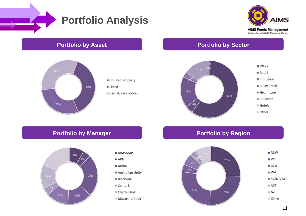

## **Portfolio Analysis**





- 
- Cash & Receivables

### **Portfolio by Asset Portfolio by Sector**



## **Portfolio by Manager Portfolio by Region**



- AIMSAMP
- $APN$
- $Arena$
- Australian Unity
- **Blackwall**
- $\blacksquare$  Centuria
- Charter Hall
- MacarthurCook

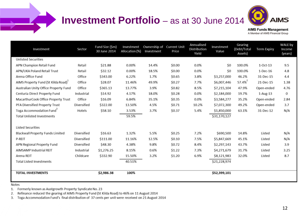## **Investment Portfolio** – as at 30 June 2014



**AIMS Funds Management** A Member of AIMS Financial Group

| Investment                                      | Sector      | Fund Size (\$m)<br>30 June 2014 | Investment<br>Allocation (%) | Ownership of<br>Investment | <b>Current Unit</b><br>Price | Annualised<br>Distribution<br>Yield | Investment<br>Value | Gearing<br>(Debt/Total<br>Assets) | <b>Term Expiry</b> | WALE by<br>Income<br>(years) |
|-------------------------------------------------|-------------|---------------------------------|------------------------------|----------------------------|------------------------------|-------------------------------------|---------------------|-----------------------------------|--------------------|------------------------------|
| <b>Unlisted Securities</b>                      |             |                                 |                              |                            |                              |                                     |                     |                                   |                    |                              |
| APN Champion Retail Fund                        | Retail      | \$21.88                         | 0.00%                        | 14.4%                      | \$0.00                       | 0.0%                                | \$0                 | 100.0%                            | $1$ -Oct-13        | 9.5                          |
| APN/UKA Poland Retail Trust                     | Retail      | \$32.12                         | 0.00%                        | 18.5%                      | \$0.00                       | 0.0%                                | \$0                 | 100.0%                            | 1-Dec-16           | 4.8                          |
| Arena Office Fund                               | Office      | \$343.00                        | 6.22%                        | 1.7%                       | \$0.65                       | 3.8%                                | \$3,257,000         | 46.2%                             | 31-Dec-15          | 4.4                          |
| AIMS Property Fund (St Kilda Road) <sup>+</sup> | Office      | \$28.07                         | 11.46%                       | 49.9%                      | \$0.27                       | 7.7%                                | \$6,007,446         | 57.4% <sup>2</sup>                | 21-Dec-15          | 1.38                         |
| Australian Unity Office Property Fund           | Office      | \$365.13                        | 13.77%                       | 3.9%                       | \$0.82                       | 8.5%                                | \$7,215,104         | 47.9%                             | Open-ended         | 4.76                         |
| Centuria Direct Property Fund                   | Industrial  | \$14.92                         | 4.17%                        | 18.0%                      | \$0.28                       | 0.0%                                | \$2,184,000         | 19.7%                             | 1-Aug-13           | 0                            |
| MacarthurCook Office Property Trust             | Office      | \$16.09                         | 6.84%                        | 35.1%                      | \$0.35                       | 0.0%                                | \$3,584,277         | 35.2%                             | Open-ended         | 2.84                         |
| PFA Diversified Property Trust                  | Diversified | \$322.00                        | 13.50%                       | 4.5%                       | \$0.71                       | 10.2%                               | \$7,072,300         | 49.2%                             | Open-ended         | 3.7                          |
| Toga Accommodation Fund <sup>2</sup>            | Hotels      | \$58.10                         | 3.53%                        | 3.7%                       | \$0.37                       | 5.4%                                | \$1,850,000         | 63.1%                             | 31-Dec-12          | N/A                          |
| <b>Total Unlisted Investments</b>               |             |                                 | 59.5%                        |                            |                              |                                     | \$31,170,127        |                                   |                    |                              |
|                                                 |             |                                 |                              |                            |                              |                                     |                     |                                   |                    |                              |
| <b>Listed Securities</b>                        |             |                                 |                              |                            |                              |                                     |                     |                                   |                    |                              |
| Blackwall Property Funds Limited                | Diversified | \$16.63                         | 1.32%                        | 5.5%                       | \$0.25                       | 7.2%                                | \$690,500           | 14.8%                             | Listed             | N/A                          |
| P-REIT                                          | Diversified | \$111.00                        | 11.16%                       | 12.5%                      | \$0.10                       | 7.5%                                | \$5,847,669         | 45.1%                             | Listed             | N/A                          |
| APN Regional Property Fund                      | Diversified | \$48.30                         | 4.38%                        | 9.8%                       | \$0.72                       | 8.4%                                | \$2,297,143         | 43.7%                             | Listed             | 3.9                          |
| AIMSAMP Industrial REIT                         | Industrial  | \$1,276.25                      | 8.15%                        | 0.6%                       | \$1.22                       | 7.3%                                | \$4,271,679         | 31.7%                             | Listed             | 3.25                         |
| Arena REIT                                      | Childcare   | \$332.90                        | 15.50%                       | 3.2%                       | \$1.20                       | 6.9%                                | \$8,121,983         | 32.0%                             | Listed             | 8.7                          |
| <b>Total Listed Investments</b>                 |             |                                 | 40.51%                       |                            |                              |                                     | \$21,228,974        |                                   |                    |                              |
|                                                 |             |                                 |                              |                            |                              |                                     |                     |                                   |                    |                              |
| <b>TOTAL INVESTMENTS</b>                        |             | \$2,986.38                      | 100%                         |                            |                              |                                     | \$52,399,101        |                                   |                    |                              |
|                                                 |             |                                 |                              |                            |                              |                                     |                     |                                   |                    |                              |

Notes

1. Formerly known as Austgrowth Property Syndicate No. 23

Refinance reduced the gearing of AIMS Property Fund (St Kilda Road) to 46% on 11 August 2014 2.

3. Toga Accommodation Fund's final distribution of 37 cents per unit were received on 21 August 2014